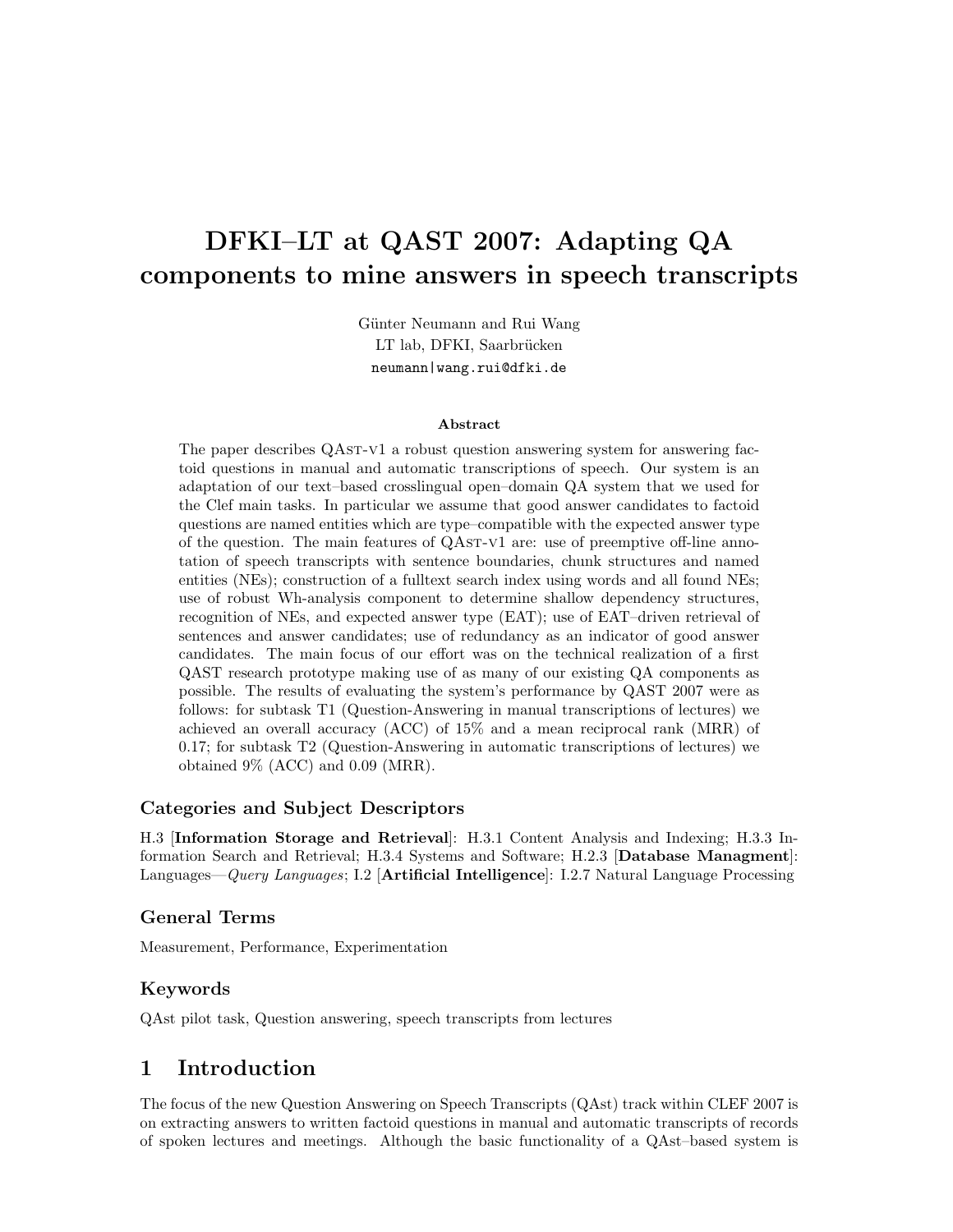# DFKI–LT at QAST 2007: Adapting QA components to mine answers in speech transcripts

Günter Neumann and Rui Wang LT lab, DFKI, Saarbrücken neumann|wang.rui@dfki.de

#### Abstract

The paper describes QAST-V1 a robust question answering system for answering factoid questions in manual and automatic transcriptions of speech. Our system is an adaptation of our text–based crosslingual open–domain QA system that we used for the Clef main tasks. In particular we assume that good answer candidates to factoid questions are named entities which are type–compatible with the expected answer type of the question. The main features of  $QAST-V1$  are: use of preemptive off-line annotation of speech transcripts with sentence boundaries, chunk structures and named entities (NEs); construction of a fulltext search index using words and all found NEs; use of robust Wh-analysis component to determine shallow dependency structures, recognition of NEs, and expected answer type (EAT); use of EAT–driven retrieval of sentences and answer candidates; use of redundancy as an indicator of good answer candidates. The main focus of our effort was on the technical realization of a first QAST research prototype making use of as many of our existing QA components as possible. The results of evaluating the system's performance by QAST 2007 were as follows: for subtask T1 (Question-Answering in manual transcriptions of lectures) we achieved an overall accuracy (ACC) of 15% and a mean reciprocal rank (MRR) of 0.17; for subtask T2 (Question-Answering in automatic transcriptions of lectures) we obtained 9% (ACC) and 0.09 (MRR).

#### Categories and Subject Descriptors

H.3 [Information Storage and Retrieval]: H.3.1 Content Analysis and Indexing; H.3.3 Information Search and Retrieval; H.3.4 Systems and Software; H.2.3 [Database Managment]: Languages—*Query Languages*; I.2 [**Artificial Intelligence**]: I.2.7 Natural Language Processing

### General Terms

Measurement, Performance, Experimentation

### Keywords

QAst pilot task, Question answering, speech transcripts from lectures

# 1 Introduction

The focus of the new Question Answering on Speech Transcripts (QAst) track within CLEF 2007 is on extracting answers to written factoid questions in manual and automatic transcripts of records of spoken lectures and meetings. Although the basic functionality of a QAst–based system is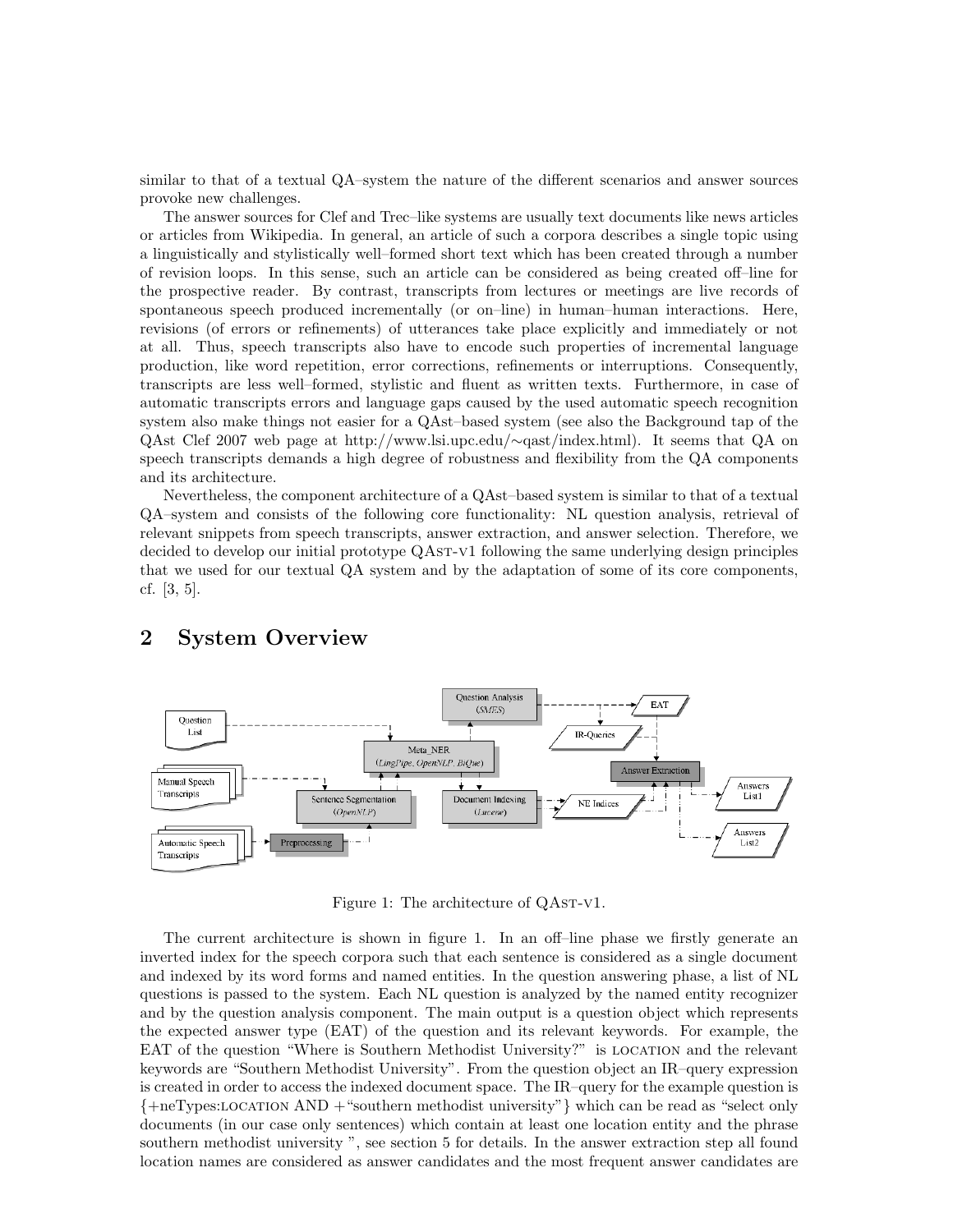similar to that of a textual QA–system the nature of the different scenarios and answer sources provoke new challenges.

The answer sources for Clef and Trec–like systems are usually text documents like news articles or articles from Wikipedia. In general, an article of such a corpora describes a single topic using a linguistically and stylistically well–formed short text which has been created through a number of revision loops. In this sense, such an article can be considered as being created off–line for the prospective reader. By contrast, transcripts from lectures or meetings are live records of spontaneous speech produced incrementally (or on–line) in human–human interactions. Here, revisions (of errors or refinements) of utterances take place explicitly and immediately or not at all. Thus, speech transcripts also have to encode such properties of incremental language production, like word repetition, error corrections, refinements or interruptions. Consequently, transcripts are less well–formed, stylistic and fluent as written texts. Furthermore, in case of automatic transcripts errors and language gaps caused by the used automatic speech recognition system also make things not easier for a QAst–based system (see also the Background tap of the QAst Clef 2007 web page at http://www.lsi.upc.edu/∼qast/index.html). It seems that QA on speech transcripts demands a high degree of robustness and flexibility from the QA components and its architecture.

Nevertheless, the component architecture of a QAst–based system is similar to that of a textual QA–system and consists of the following core functionality: NL question analysis, retrieval of relevant snippets from speech transcripts, answer extraction, and answer selection. Therefore, we decided to develop our initial prototype QAST-V1 following the same underlying design principles that we used for our textual QA system and by the adaptation of some of its core components, cf. [3, 5].



### 2 System Overview

Figure 1: The architecture of QAsT-V1.

The current architecture is shown in figure 1. In an off–line phase we firstly generate an inverted index for the speech corpora such that each sentence is considered as a single document and indexed by its word forms and named entities. In the question answering phase, a list of NL questions is passed to the system. Each NL question is analyzed by the named entity recognizer and by the question analysis component. The main output is a question object which represents the expected answer type (EAT) of the question and its relevant keywords. For example, the EAT of the question "Where is Southern Methodist University?" is LOCATION and the relevant keywords are "Southern Methodist University". From the question object an IR–query expression is created in order to access the indexed document space. The IR–query for the example question is  ${+n$ eTypes:LOCATION AND  $+$  "southern methodist university" which can be read as "select only documents (in our case only sentences) which contain at least one location entity and the phrase southern methodist university ", see section 5 for details. In the answer extraction step all found location names are considered as answer candidates and the most frequent answer candidates are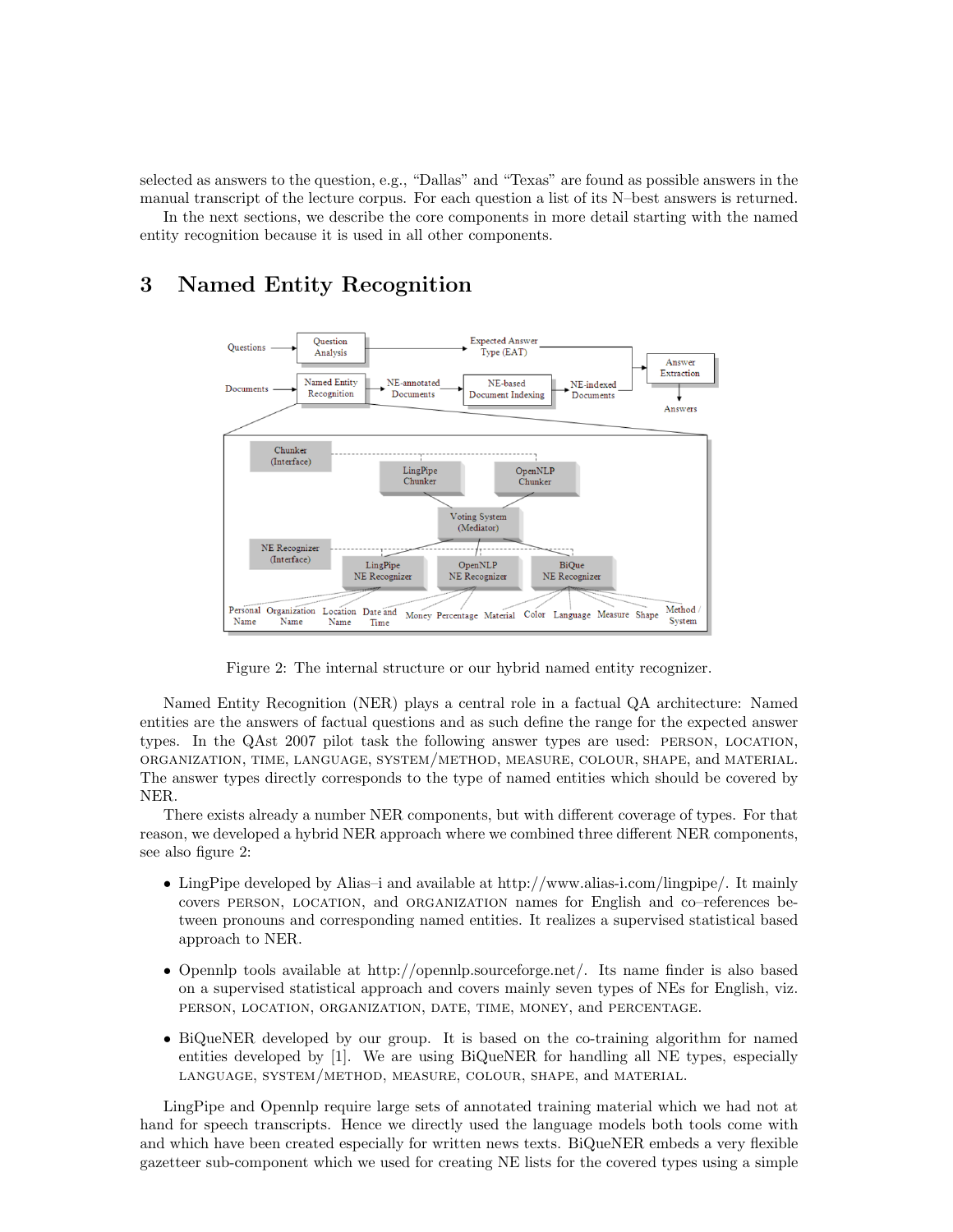selected as answers to the question, e.g., "Dallas" and "Texas" are found as possible answers in the manual transcript of the lecture corpus. For each question a list of its N–best answers is returned.

In the next sections, we describe the core components in more detail starting with the named entity recognition because it is used in all other components.

# 3 Named Entity Recognition



Figure 2: The internal structure or our hybrid named entity recognizer.

Named Entity Recognition (NER) plays a central role in a factual QA architecture: Named entities are the answers of factual questions and as such define the range for the expected answer types. In the QAst 2007 pilot task the following answer types are used: person, location, organization, time, language, system/method, measure, colour, shape, and material. The answer types directly corresponds to the type of named entities which should be covered by NER.

There exists already a number NER components, but with different coverage of types. For that reason, we developed a hybrid NER approach where we combined three different NER components, see also figure 2:

- LingPipe developed by Alias–i and available at http://www.alias-i.com/lingpipe/. It mainly covers person, location, and organization names for English and co–references between pronouns and corresponding named entities. It realizes a supervised statistical based approach to NER.
- Opennlp tools available at http://opennlp.sourceforge.net/. Its name finder is also based on a supervised statistical approach and covers mainly seven types of NEs for English, viz. person, location, organization, date, time, money, and percentage.
- BiQueNER developed by our group. It is based on the co-training algorithm for named entities developed by [1]. We are using BiQueNER for handling all NE types, especially language, system/method, measure, colour, shape, and material.

LingPipe and Opennlp require large sets of annotated training material which we had not at hand for speech transcripts. Hence we directly used the language models both tools come with and which have been created especially for written news texts. BiQueNER embeds a very flexible gazetteer sub-component which we used for creating NE lists for the covered types using a simple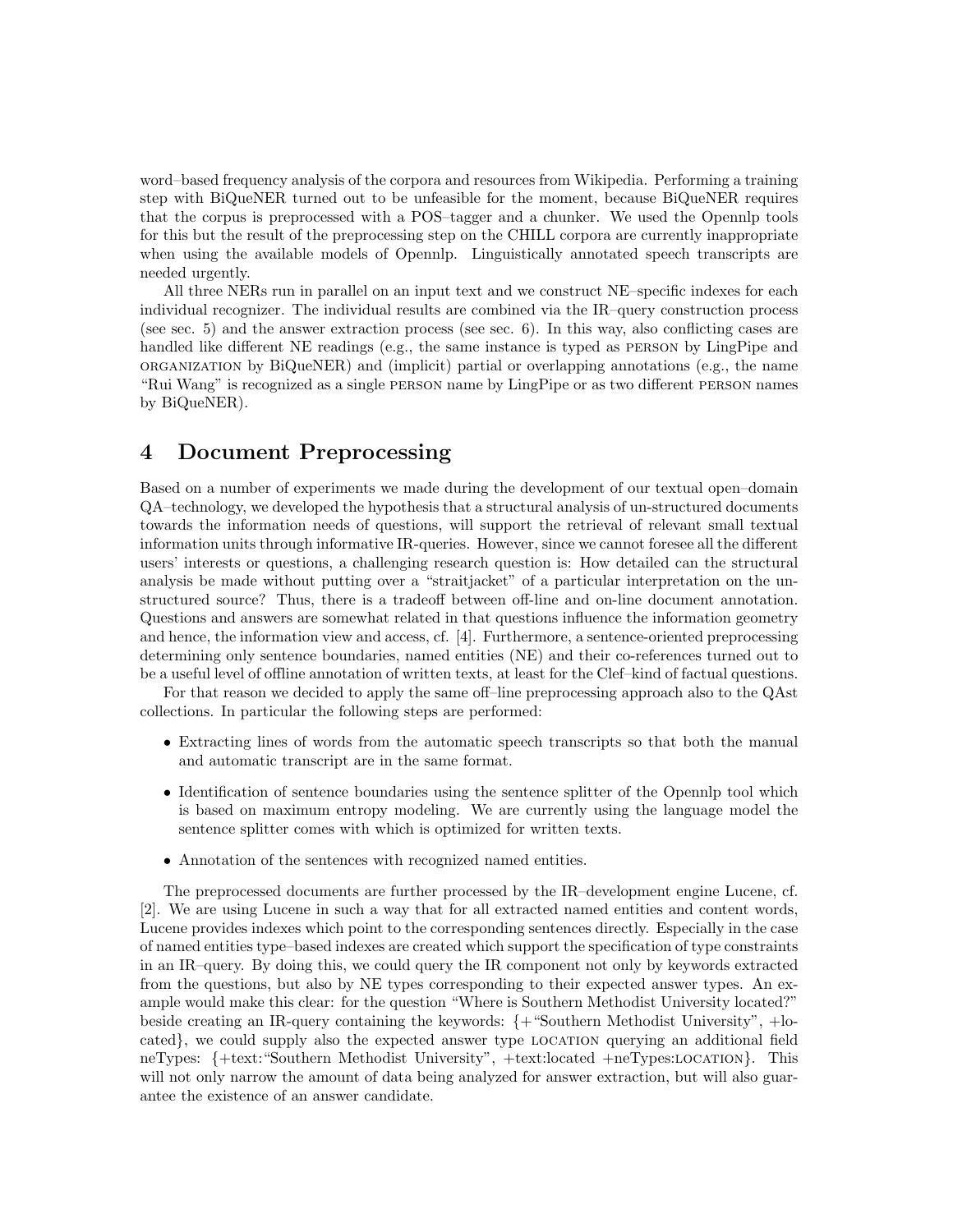word–based frequency analysis of the corpora and resources from Wikipedia. Performing a training step with BiQueNER turned out to be unfeasible for the moment, because BiQueNER requires that the corpus is preprocessed with a POS–tagger and a chunker. We used the Opennlp tools for this but the result of the preprocessing step on the CHILL corpora are currently inappropriate when using the available models of Opennlp. Linguistically annotated speech transcripts are needed urgently.

All three NERs run in parallel on an input text and we construct NE–specific indexes for each individual recognizer. The individual results are combined via the IR–query construction process (see sec. 5) and the answer extraction process (see sec. 6). In this way, also conflicting cases are handled like different NE readings (e.g., the same instance is typed as PERSON by LingPipe and organization by BiQueNER) and (implicit) partial or overlapping annotations (e.g., the name "Rui Wang" is recognized as a single person name by LingPipe or as two different person names by BiQueNER).

# 4 Document Preprocessing

Based on a number of experiments we made during the development of our textual open–domain QA–technology, we developed the hypothesis that a structural analysis of un-structured documents towards the information needs of questions, will support the retrieval of relevant small textual information units through informative IR-queries. However, since we cannot foresee all the different users' interests or questions, a challenging research question is: How detailed can the structural analysis be made without putting over a "straitjacket" of a particular interpretation on the unstructured source? Thus, there is a tradeoff between off-line and on-line document annotation. Questions and answers are somewhat related in that questions influence the information geometry and hence, the information view and access, cf. [4]. Furthermore, a sentence-oriented preprocessing determining only sentence boundaries, named entities (NE) and their co-references turned out to be a useful level of offline annotation of written texts, at least for the Clef–kind of factual questions.

For that reason we decided to apply the same off–line preprocessing approach also to the QAst collections. In particular the following steps are performed:

- Extracting lines of words from the automatic speech transcripts so that both the manual and automatic transcript are in the same format.
- Identification of sentence boundaries using the sentence splitter of the Opennlp tool which is based on maximum entropy modeling. We are currently using the language model the sentence splitter comes with which is optimized for written texts.
- Annotation of the sentences with recognized named entities.

The preprocessed documents are further processed by the IR–development engine Lucene, cf. [2]. We are using Lucene in such a way that for all extracted named entities and content words, Lucene provides indexes which point to the corresponding sentences directly. Especially in the case of named entities type–based indexes are created which support the specification of type constraints in an IR–query. By doing this, we could query the IR component not only by keywords extracted from the questions, but also by NE types corresponding to their expected answer types. An example would make this clear: for the question "Where is Southern Methodist University located?" beside creating an IR-query containing the keywords: {+"Southern Methodist University", +located}, we could supply also the expected answer type location querying an additional field neTypes: {+text:"Southern Methodist University", +text:located +neTypes:location}. This will not only narrow the amount of data being analyzed for answer extraction, but will also guarantee the existence of an answer candidate.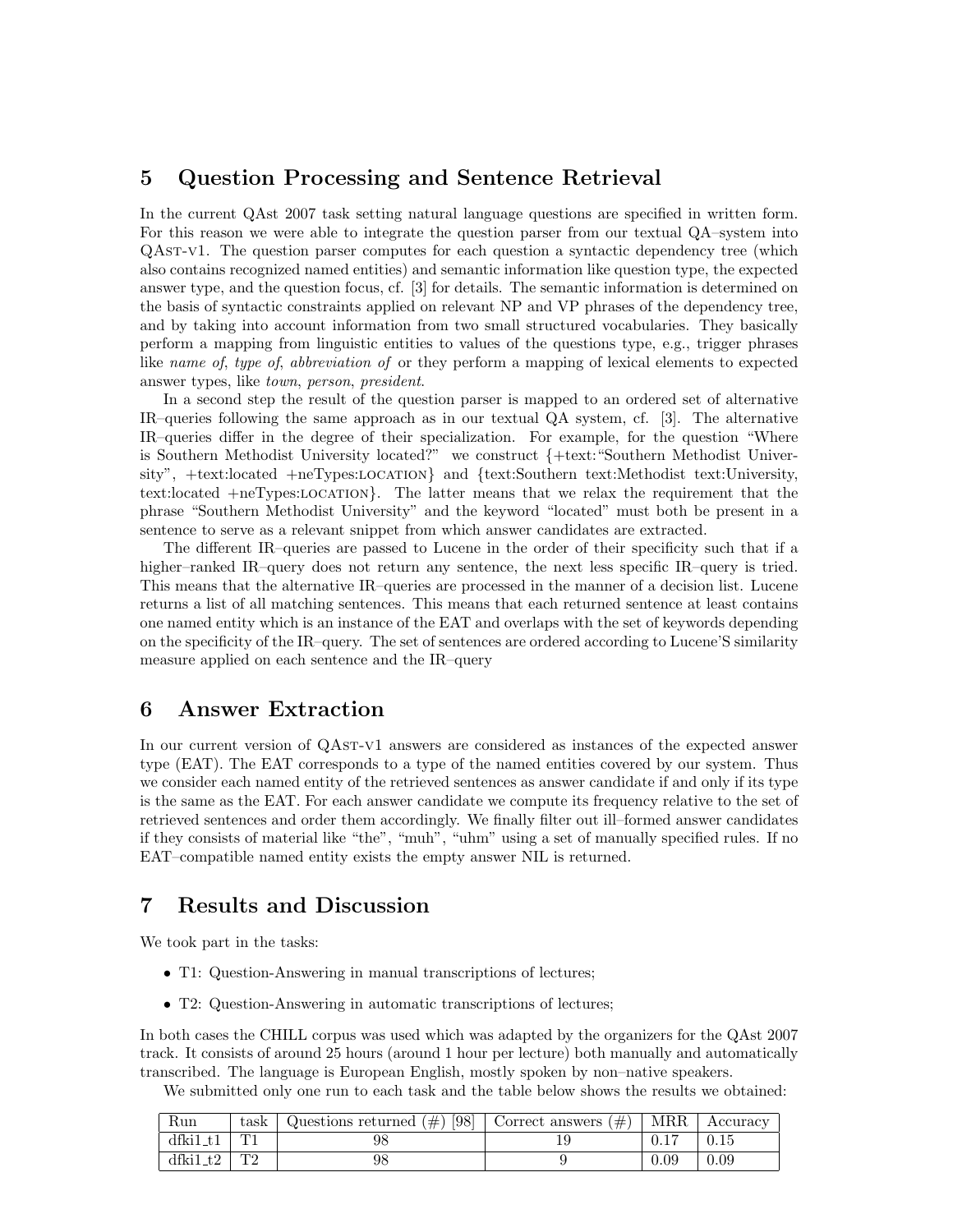## 5 Question Processing and Sentence Retrieval

In the current QAst 2007 task setting natural language questions are specified in written form. For this reason we were able to integrate the question parser from our textual QA–system into QAst-v1. The question parser computes for each question a syntactic dependency tree (which also contains recognized named entities) and semantic information like question type, the expected answer type, and the question focus, cf. [3] for details. The semantic information is determined on the basis of syntactic constraints applied on relevant NP and VP phrases of the dependency tree, and by taking into account information from two small structured vocabularies. They basically perform a mapping from linguistic entities to values of the questions type, e.g., trigger phrases like name of, type of, abbreviation of or they perform a mapping of lexical elements to expected answer types, like town, person, president.

In a second step the result of the question parser is mapped to an ordered set of alternative IR–queries following the same approach as in our textual QA system, cf. [3]. The alternative IR–queries differ in the degree of their specialization. For example, for the question "Where is Southern Methodist University located?" we construct {+text:"Southern Methodist University", +text:located +neTypes:location} and {text:Southern text:Methodist text:University, text:located +neTypes:location}. The latter means that we relax the requirement that the phrase "Southern Methodist University" and the keyword "located" must both be present in a sentence to serve as a relevant snippet from which answer candidates are extracted.

The different IR–queries are passed to Lucene in the order of their specificity such that if a higher–ranked IR–query does not return any sentence, the next less specific IR–query is tried. This means that the alternative IR–queries are processed in the manner of a decision list. Lucene returns a list of all matching sentences. This means that each returned sentence at least contains one named entity which is an instance of the EAT and overlaps with the set of keywords depending on the specificity of the IR–query. The set of sentences are ordered according to Lucene'S similarity measure applied on each sentence and the IR–query

## 6 Answer Extraction

In our current version of QAst-v1 answers are considered as instances of the expected answer type (EAT). The EAT corresponds to a type of the named entities covered by our system. Thus we consider each named entity of the retrieved sentences as answer candidate if and only if its type is the same as the EAT. For each answer candidate we compute its frequency relative to the set of retrieved sentences and order them accordingly. We finally filter out ill–formed answer candidates if they consists of material like "the", "muh", "uhm" using a set of manually specified rules. If no EAT–compatible named entity exists the empty answer NIL is returned.

# 7 Results and Discussion

We took part in the tasks:

- T1: Question-Answering in manual transcriptions of lectures;
- T2: Question-Answering in automatic transcriptions of lectures;

In both cases the CHILL corpus was used which was adapted by the organizers for the QAst 2007 track. It consists of around 25 hours (around 1 hour per lecture) both manually and automatically transcribed. The language is European English, mostly spoken by non–native speakers.

We submitted only one run to each task and the table below shows the results we obtained:

| Run        | task | Questions returned $(\#)$ [98] | Correct answers $(\#)$ | <b>MRR</b> | Accuracy |
|------------|------|--------------------------------|------------------------|------------|----------|
| $dfki1_t1$ | T11  |                                |                        |            |          |
| dfki1_t2   | πŋ   | 98                             |                        | 0.09       | 0.09     |